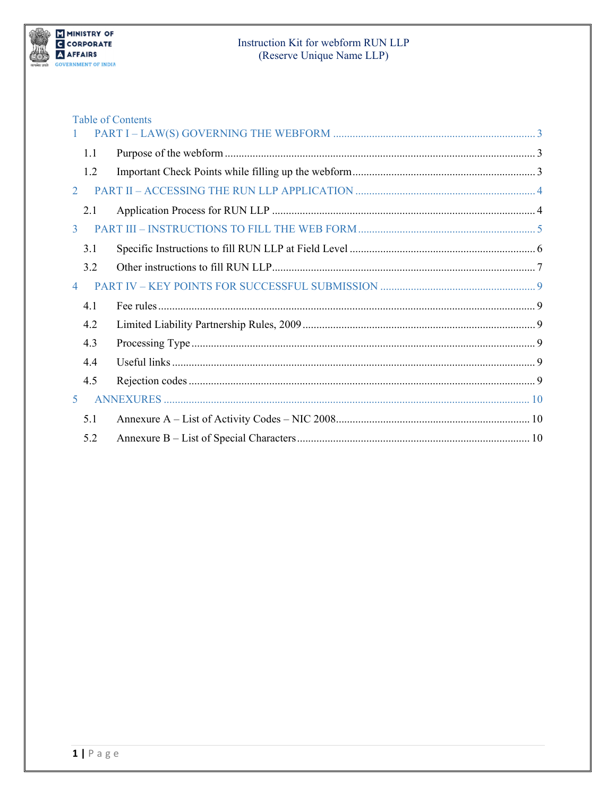

| 1.1 |                                                 |                          |
|-----|-------------------------------------------------|--------------------------|
| 1.2 |                                                 |                          |
|     |                                                 |                          |
| 2.1 |                                                 |                          |
|     |                                                 |                          |
| 3.1 |                                                 |                          |
| 3.2 |                                                 |                          |
|     |                                                 |                          |
| 4.1 |                                                 |                          |
| 4.2 |                                                 |                          |
| 4.3 |                                                 |                          |
| 4.4 |                                                 |                          |
| 4.5 |                                                 |                          |
|     |                                                 |                          |
| 5.1 |                                                 |                          |
| 5.2 |                                                 |                          |
| 3   | $\overline{2}$<br>$\overline{4}$<br>$5^{\circ}$ | <b>Table of Contents</b> |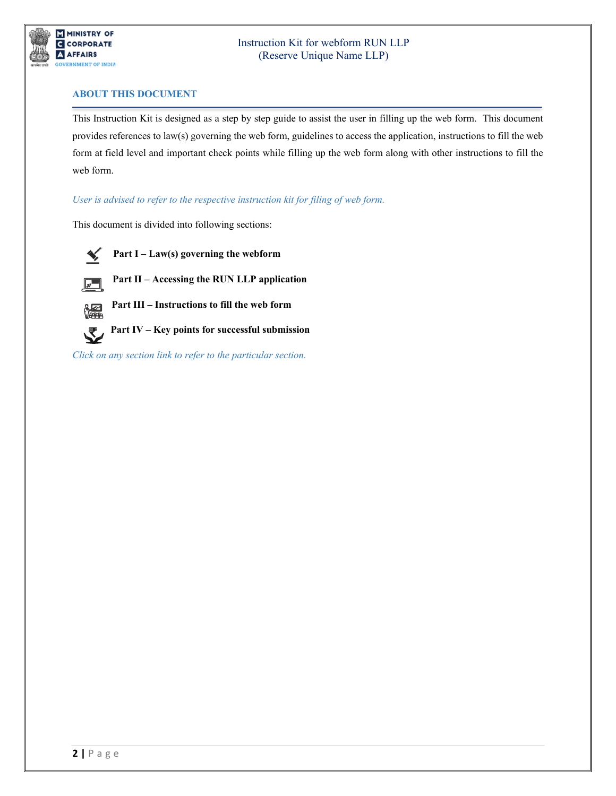

## **ABOUT THIS DOCUMENT**

This Instruction Kit is designed as a step by step guide to assist the user in filling up the web form. This document provides references to law(s) governing the web form, guidelines to access the application, instructions to fill the web form at field level and important check points while filling up the web form along with other instructions to fill the web form.

## *User is advised to refer to the respective instruction kit for filing of web form.*

This document is divided into following sections:



 **Part I – [Law\(s\) governing the webform](#page-2-0)**





 **Part III – Instructions to fill the web form**



 **Part IV – Key [points for successful submission](#page-8-0)**

*Click on any section link to refer to the particular section.*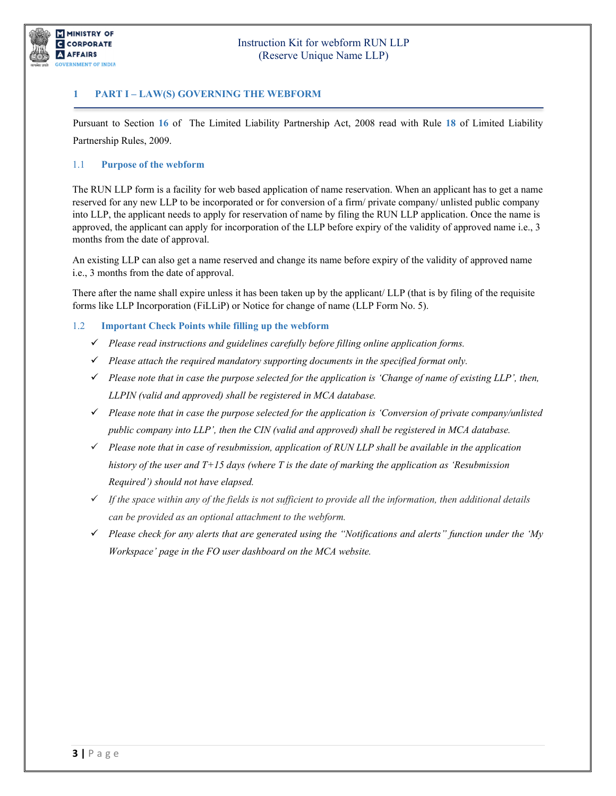

# **1 PART I – LAW(S) GOVERNING THE WEBFORM**

<span id="page-2-0"></span>Pursuant to Section **[16](https://www.mca.gov.in/content/mca/global/en/acts-rules/ebooks/acts.html?act=MzU1NTM=#reservation-of-name)** of The Limited Liability Partnership Act, 2008 read with Rule **[18](https://www.mca.gov.in/content/mca/global/en/acts-rules/ebooks/rules.html)** of Limited Liability Partnership Rules, 2009.

## <span id="page-2-1"></span>1.1 **Purpose of the webform**

The RUN LLP form is a facility for web based application of name reservation. When an applicant has to get a name reserved for any new LLP to be incorporated or for conversion of a firm/ private company/ unlisted public company into LLP, the applicant needs to apply for reservation of name by filing the RUN LLP application. Once the name is approved, the applicant can apply for incorporation of the LLP before expiry of the validity of approved name i.e., 3 months from the date of approval.

An existing LLP can also get a name reserved and change its name before expiry of the validity of approved name i.e., 3 months from the date of approval.

There after the name shall expire unless it has been taken up by the applicant/ LLP (that is by filing of the requisite forms like LLP Incorporation (FiLLiP) or Notice for change of name (LLP Form No. 5).

### <span id="page-2-2"></span>1.2 **Important Check Points while filling up the webform**

- *Please read instructions and guidelines carefully before filling online application forms.*
- *Please attach the required mandatory supporting documents in the specified format only.*
- *Please note that in case the purpose selected for the application is 'Change of name of existing LLP', then, LLPIN (valid and approved) shall be registered in MCA database.*
- *Please note that in case the purpose selected for the application is 'Conversion of private company/unlisted public company into LLP', then the CIN (valid and approved) shall be registered in MCA database.*
- *Please note that in case of resubmission, application of RUN LLP shall be available in the application history of the user and T+15 days (where T is the date of marking the application as 'Resubmission Required') should not have elapsed.*
- *If the space within any of the fields is not sufficient to provide all the information, then additional details can be provided as an optional attachment to the webform.*
- *Please check for any alerts that are generated using the "Notifications and alerts" function under the 'My Workspace' page in the FO user dashboard on the MCA website.*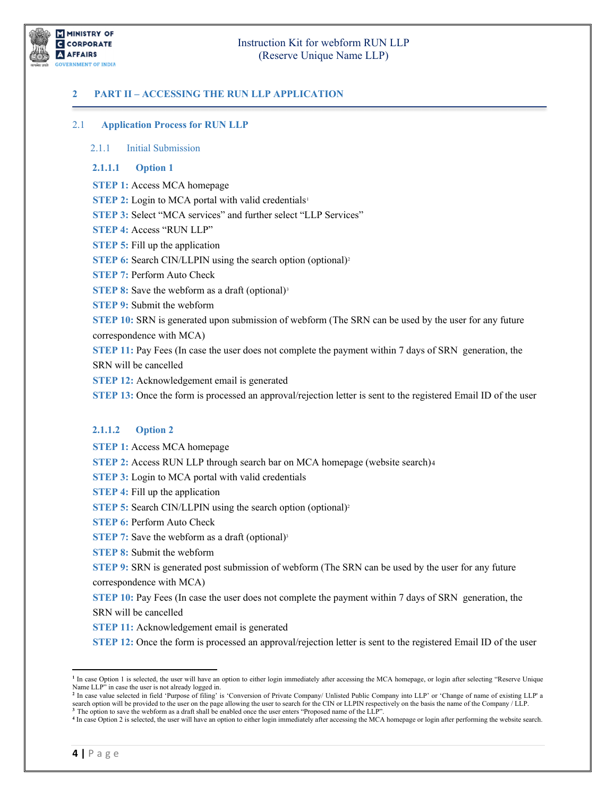MINISTRY OF **G** CORPORATE **A** AFFAIRS **OVERNMENT OF INDIA** 

# Instruction Kit for webform RUN LLP (Reserve Unique Name LLP)

## <span id="page-3-0"></span>**2 PART II – ACCESSING THE RUN LLP APPLICATION**

#### <span id="page-3-1"></span>2.1 **Application Process for RUN LLP**

#### 2.1.1 Initial Submission

#### **2.1.1.1 Option 1**

**STEP 1:** Access MCA homepage

**STEP 2:** Login to MCA portal with valid credentials<sup>[1](#page-3-2)</sup>

**STEP 3:** Select "MCA services" and further select "LLP Services"

**STEP 4:** Access "RUN LLP"

**STEP 5:** Fill up the application

**STEP 6:** Search CIN/LLPIN using the search option (optional)<sup>[2](#page-3-3)</sup>

**STEP 7:** Perform Auto Check

**STEP 8:** Save the webform as a draft (optional)<sup>[3](#page-3-4)</sup>

**STEP 9:** Submit the webform

**STEP 10:** SRN is generated upon submission of webform (The SRN can be used by the user for any future correspondence with MCA)

**STEP 11:** Pay Fees (In case the user does not complete the payment within 7 days of SRN generation, the SRN will be cancelled

**STEP 12:** Acknowledgement email is generated

**STEP 13:** Once the form is processed an approval/rejection letter is sent to the registered Email ID of the user

### **2.1.1.2 Option 2**

**STEP 1:** Access MCA homepage

**STEP 2:** Access RUN LLP through search bar on MCA homepage (website search)[4](#page-3-5)

**STEP 3:** Login to MCA portal with valid credentials

**STEP 4:** Fill up the application

**STEP 5:** Search CIN/LLPIN using the search option (optional)<sup>2</sup>

**STEP 6: Perform Auto Check** 

**STEP 7:** Save the webform as a draft (optional)<sup>3</sup>

**STEP 8:** Submit the webform

**STEP 9:** SRN is generated post submission of webform (The SRN can be used by the user for any future correspondence with MCA)

**STEP 10: Pay Fees (In case the user does not complete the payment within 7 days of SRN generation, the** SRN will be cancelled

**STEP 11:** Acknowledgement email is generated

**STEP 12:** Once the form is processed an approval/rejection letter is sent to the registered Email ID of the user

<span id="page-3-2"></span>**<sup>1</sup>** In case Option 1 is selected, the user will have an option to either login immediately after accessing the MCA homepage, or login after selecting "Reserve Unique Name LLP" in case the user is not already logged in.

<span id="page-3-3"></span><sup>&</sup>lt;sup>2</sup> In case value selected in field 'Purpose of filing' is 'Conversion of Private Company/ Unlisted Public Company into LLP' or 'Change of name of existing LLP' a search option will be provided to the user on the page allowing the user to search for the CIN or LLPIN respectively on the basis the name of the Company / LLP. <sup>3</sup> The option to save the webform as a draft shall be enabled once the user enters "Proposed name of the LLP"

<span id="page-3-5"></span><span id="page-3-4"></span>**<sup>4</sup>** In case Option 2 is selected, the user will have an option to either login immediately after accessing the MCA homepage or login after performing the website search.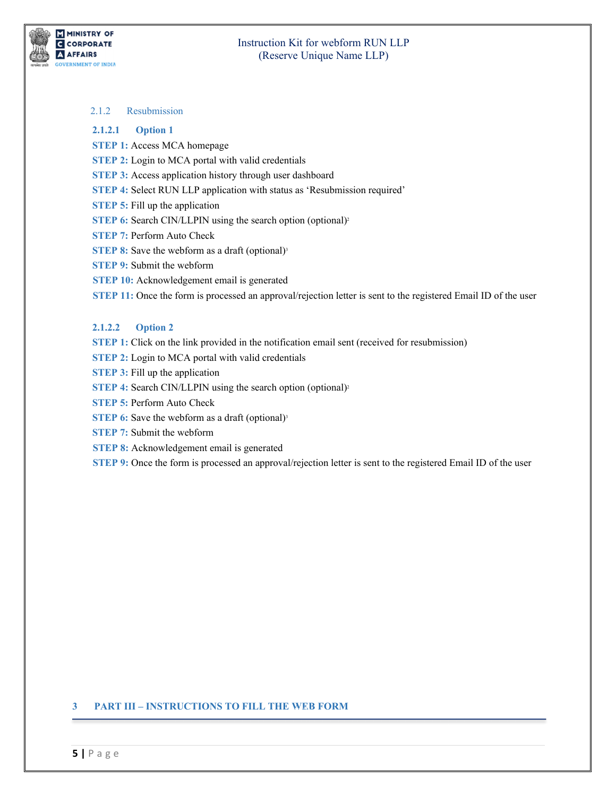

### 2.1.2 Resubmission

#### **2.1.2.1 Option 1**

- **STEP 1:** Access MCA homepage
- **STEP 2:** Login to MCA portal with valid credentials
- **STEP 3:** Access application history through user dashboard
- **STEP 4:** Select RUN LLP application with status as 'Resubmission required'
- **STEP 5:** Fill up the application
- **STEP 6:** Search CIN/LLPIN using the search option (optional)<sup>2</sup>
- **STEP 7:** Perform Auto Check
- **STEP 8:** Save the webform as a draft (optional)<sup>3</sup>
- **STEP 9:** Submit the webform
- **STEP 10:** Acknowledgement email is generated
- **STEP 11:** Once the form is processed an approval/rejection letter is sent to the registered Email ID of the user

### **2.1.2.2 Option 2**

- **STEP 1:** Click on the link provided in the notification email sent (received for resubmission)
- **STEP 2:** Login to MCA portal with valid credentials
- **STEP 3:** Fill up the application
- **STEP 4: Search CIN/LLPIN using the search option (optional)<sup>2</sup>**
- **STEP 5:** Perform Auto Check
- **STEP 6:** Save the webform as a draft (optional)<sup>3</sup>
- **STEP 7:** Submit the webform
- **STEP 8:** Acknowledgement email is generated
- **STEP** 9: Once the form is processed an approval/rejection letter is sent to the registered Email ID of the user

### <span id="page-4-0"></span>**3 PART III – INSTRUCTIONS TO FILL THE WEB FORM**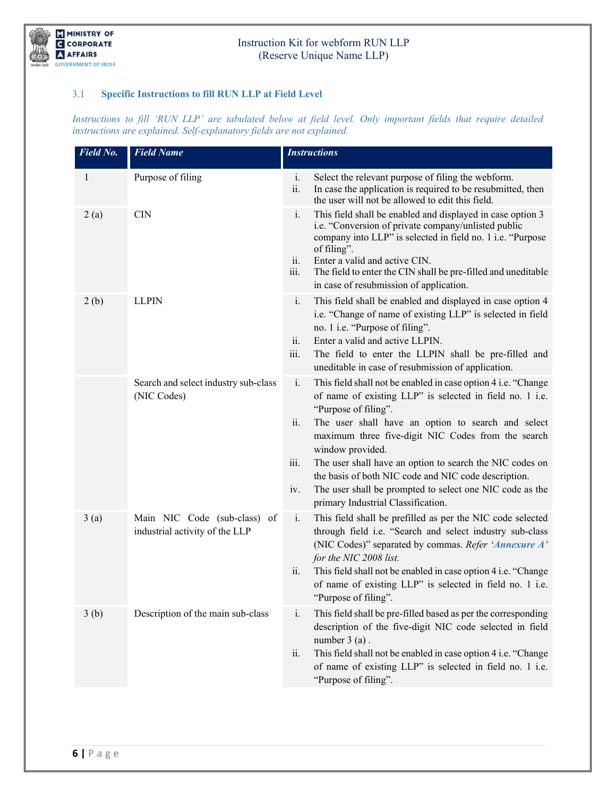

# <span id="page-5-0"></span>3.1 **Specific Instructions to fill RUN LLP at Field Level**

*Instructions to fill 'RUN LLP' are tabulated below at field level. Only important fields that require detailed instructions are explained. Self-explanatory fields are not explained.*

| Field No.    | <b>Field Name</b>                                              | <b>Instructions</b>                                                                                                                                                                                                                                                                                                                                                                                                                                                                                                                             |
|--------------|----------------------------------------------------------------|-------------------------------------------------------------------------------------------------------------------------------------------------------------------------------------------------------------------------------------------------------------------------------------------------------------------------------------------------------------------------------------------------------------------------------------------------------------------------------------------------------------------------------------------------|
| $\mathbf{1}$ | Purpose of filing                                              | Select the relevant purpose of filing the webform.<br>i.<br>ii.<br>In case the application is required to be resubmitted, then<br>the user will not be allowed to edit this field.                                                                                                                                                                                                                                                                                                                                                              |
| 2(a)         | <b>CIN</b>                                                     | This field shall be enabled and displayed in case option 3<br>i.<br>i.e. "Conversion of private company/unlisted public<br>company into LLP" is selected in field no. 1 i.e. "Purpose<br>of filing".<br>Enter a valid and active CIN.<br>ii.<br>The field to enter the CIN shall be pre-filled and uneditable<br>iii.<br>in case of resubmission of application.                                                                                                                                                                                |
| 2(b)         | <b>LLPIN</b>                                                   | This field shall be enabled and displayed in case option 4<br>$\mathbf{i}$ .<br>i.e. "Change of name of existing LLP" is selected in field<br>no. 1 i.e. "Purpose of filing".<br>Enter a valid and active LLPIN.<br>ii.<br>iii.<br>The field to enter the LLPIN shall be pre-filled and<br>uneditable in case of resubmission of application.                                                                                                                                                                                                   |
|              | Search and select industry sub-class<br>(NIC Codes)            | $\mathbf{i}$ .<br>This field shall not be enabled in case option 4 i.e. "Change<br>of name of existing LLP" is selected in field no. 1 i.e.<br>"Purpose of filing".<br>The user shall have an option to search and select<br>ii.<br>maximum three five-digit NIC Codes from the search<br>window provided.<br>The user shall have an option to search the NIC codes on<br>iii.<br>the basis of both NIC code and NIC code description.<br>The user shall be prompted to select one NIC code as the<br>iv.<br>primary Industrial Classification. |
| 3(a)         | Main NIC Code (sub-class) of<br>industrial activity of the LLP | $\mathbf{i}$ .<br>This field shall be prefilled as per the NIC code selected<br>through field i.e. "Search and select industry sub-class<br>(NIC Codes)" separated by commas. Refer 'Annexure A'<br>for the NIC 2008 list.<br>This field shall not be enabled in case option 4 i.e. "Change<br>ii.<br>of name of existing LLP" is selected in field no. 1 i.e.<br>"Purpose of filing".                                                                                                                                                          |
| 3(b)         | Description of the main sub-class                              | This field shall be pre-filled based as per the corresponding<br>i.<br>description of the five-digit NIC code selected in field<br>number $3(a)$ .<br>This field shall not be enabled in case option 4 i.e. "Change<br>ii.<br>of name of existing LLP" is selected in field no. 1 i.e.<br>"Purpose of filing".                                                                                                                                                                                                                                  |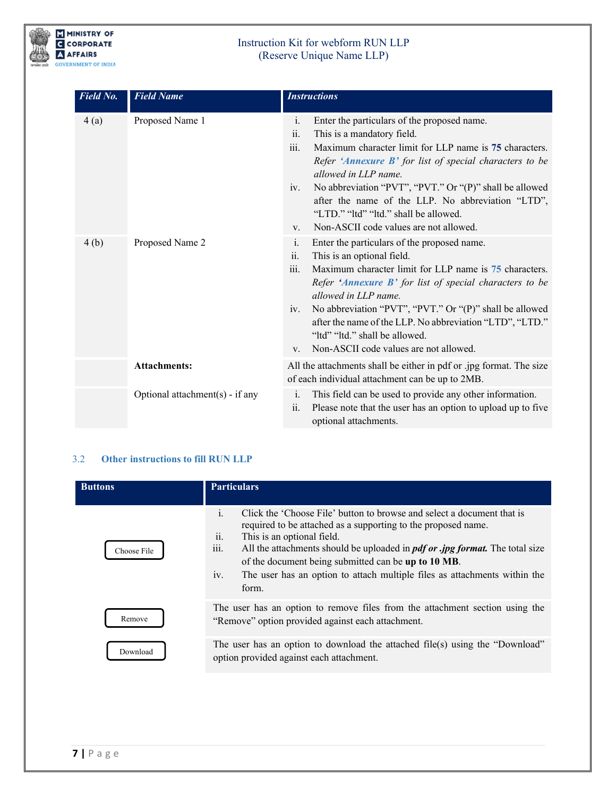

| Field No. | <b>Field Name</b>               | <b>Instructions</b>                                                                                                                                                                                                                                                                                                                                                                                                                                                     |
|-----------|---------------------------------|-------------------------------------------------------------------------------------------------------------------------------------------------------------------------------------------------------------------------------------------------------------------------------------------------------------------------------------------------------------------------------------------------------------------------------------------------------------------------|
| 4(a)      | Proposed Name 1                 | Enter the particulars of the proposed name.<br>$\mathbf{i}$ .<br>ii.<br>This is a mandatory field.<br>iii.<br>Maximum character limit for LLP name is 75 characters.<br>Refer 'Annexure B' for list of special characters to be<br>allowed in LLP name.<br>No abbreviation "PVT", "PVT." Or "(P)" shall be allowed<br>iv.<br>after the name of the LLP. No abbreviation "LTD",<br>"LTD." "Itd" "Itd." shall be allowed.<br>Non-ASCII code values are not allowed.<br>V. |
| 4(b)      | Proposed Name 2                 | Enter the particulars of the proposed name.<br>$\mathbf{i}$ .<br>This is an optional field.<br>ii.<br>iii.<br>Maximum character limit for LLP name is 75 characters.<br>Refer 'Annexure B' for list of special characters to be<br>allowed in LLP name.<br>No abbreviation "PVT", "PVT." Or "(P)" shall be allowed<br>iv.<br>after the name of the LLP. No abbreviation "LTD", "LTD."<br>"Itd" "Itd." shall be allowed.<br>Non-ASCII code values are not allowed.<br>V. |
|           | <b>Attachments:</b>             | All the attachments shall be either in pdf or .jpg format. The size<br>of each individual attachment can be up to 2MB.                                                                                                                                                                                                                                                                                                                                                  |
|           | Optional attachment(s) - if any | This field can be used to provide any other information.<br>i.<br>Please note that the user has an option to upload up to five<br>ii.<br>optional attachments.                                                                                                                                                                                                                                                                                                          |

# <span id="page-6-0"></span>3.2 **Other instructions to fill RUN LLP**

| <b>Buttons</b> | <b>Particulars</b>                                                                                                                                                                                                                                                                                                                                                                                                                                                  |  |  |
|----------------|---------------------------------------------------------------------------------------------------------------------------------------------------------------------------------------------------------------------------------------------------------------------------------------------------------------------------------------------------------------------------------------------------------------------------------------------------------------------|--|--|
| Choose File    | $\mathbf{i}$ .<br>Click the 'Choose File' button to browse and select a document that is<br>required to be attached as a supporting to the proposed name.<br>$\cdot \cdot$<br>This is an optional field.<br>11.<br>iii.<br>All the attachments should be uploaded in <i>pdf or .jpg format</i> . The total size<br>of the document being submitted can be up to 10 MB.<br>iv.<br>The user has an option to attach multiple files as attachments within the<br>form. |  |  |
| Remove         | The user has an option to remove files from the attachment section using the<br>"Remove" option provided against each attachment.                                                                                                                                                                                                                                                                                                                                   |  |  |
| Download       | The user has an option to download the attached file(s) using the "Download"<br>option provided against each attachment.                                                                                                                                                                                                                                                                                                                                            |  |  |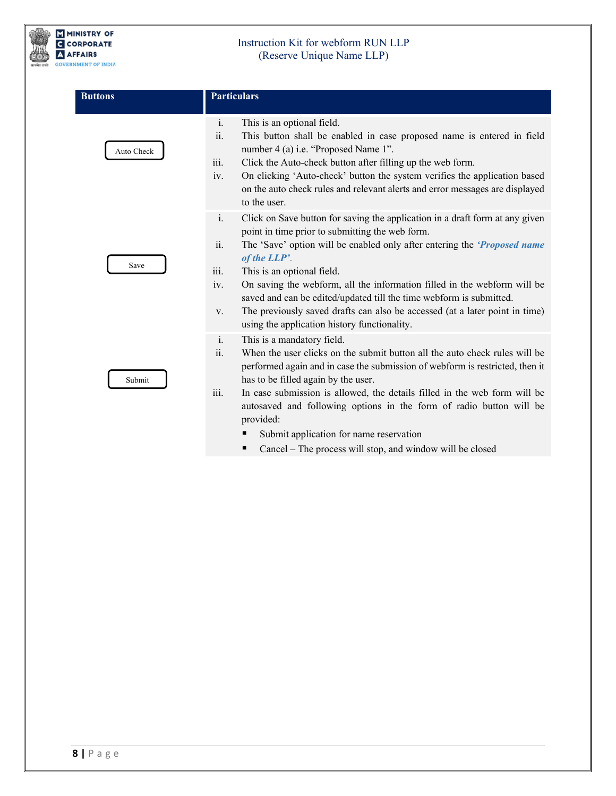

| <b>Buttons</b> | <b>Particulars</b>                                                                                                                                                                                                                                                                                                                                                                                                                                                                                                                                                                    |  |  |
|----------------|---------------------------------------------------------------------------------------------------------------------------------------------------------------------------------------------------------------------------------------------------------------------------------------------------------------------------------------------------------------------------------------------------------------------------------------------------------------------------------------------------------------------------------------------------------------------------------------|--|--|
| Auto Check     | i.<br>This is an optional field.<br>ii.<br>This button shall be enabled in case proposed name is entered in field<br>number 4 (a) i.e. "Proposed Name 1".<br>iii.<br>Click the Auto-check button after filling up the web form.<br>iv.<br>On clicking 'Auto-check' button the system verifies the application based<br>on the auto check rules and relevant alerts and error messages are displayed<br>to the user.                                                                                                                                                                   |  |  |
| Save           | i.<br>Click on Save button for saving the application in a draft form at any given<br>point in time prior to submitting the web form.<br>ii.<br>The 'Save' option will be enabled only after entering the ' <i>Proposed name</i><br>of the LLP'.<br>iii.<br>This is an optional field.<br>iv.<br>On saving the webform, all the information filled in the webform will be<br>saved and can be edited/updated till the time webform is submitted.<br>The previously saved drafts can also be accessed (at a later point in time)<br>V.<br>using the application history functionality. |  |  |
| Submit         | $\mathbf{i}$ .<br>This is a mandatory field.<br>ii.<br>When the user clicks on the submit button all the auto check rules will be<br>performed again and in case the submission of webform is restricted, then it<br>has to be filled again by the user.<br>$\dddot{\mathbf{m}}$ .<br>In case submission is allowed, the details filled in the web form will be<br>autosaved and following options in the form of radio button will be<br>provided:                                                                                                                                   |  |  |

- Submit application for name reservation
- Cancel The process will stop, and window will be closed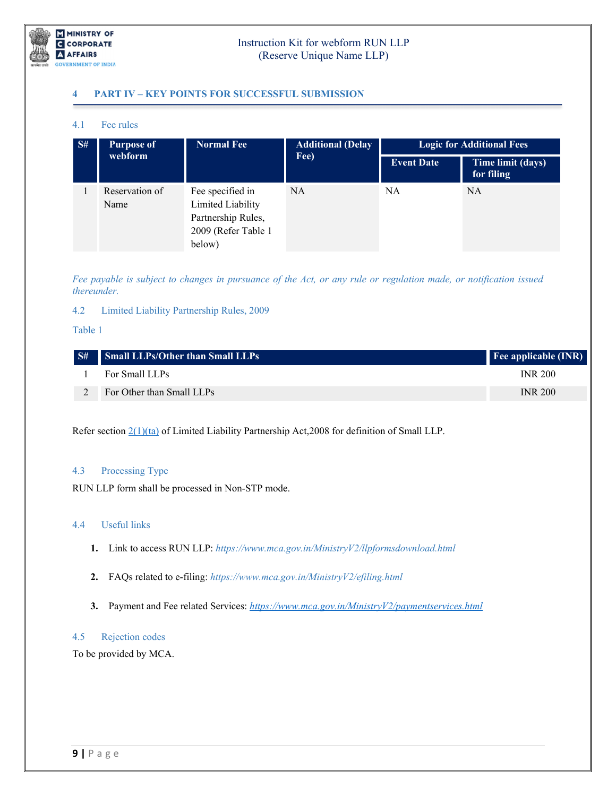

# **4 PART IV – KEY POINTS FOR SUCCESSFUL SUBMISSION**

### <span id="page-8-0"></span>4.1 Fee rules

| S# | <b>Purpose of</b><br>webform | <b>Normal Fee</b>                                                                            | <b>Additional (Delay</b><br>Fee) | <b>Logic for Additional Fees</b> |                                 |
|----|------------------------------|----------------------------------------------------------------------------------------------|----------------------------------|----------------------------------|---------------------------------|
|    |                              |                                                                                              |                                  | <b>Event Date</b>                | Time limit (days)<br>for filing |
|    | Reservation of<br>Name       | Fee specified in<br>Limited Liability<br>Partnership Rules,<br>2009 (Refer Table 1<br>below) | <b>NA</b>                        | <b>NA</b>                        | <b>NA</b>                       |

*Fee payable is subject to changes in pursuance of the Act, or any rule or regulation made, or notification issued thereunder.*

### <span id="page-8-1"></span>4.2 Limited Liability Partnership Rules, 2009

### Table 1

| S# Small LLPs/Other than Small LLPs | <b>Fee applicable (INR)</b> |
|-------------------------------------|-----------------------------|
| For Small LLPs                      | <b>INR 200</b>              |
| For Other than Small LLPs           | <b>INR 200</b>              |

Refer section  $2(1)(ta)$  of Limited Liability Partnership Act, 2008 for definition of Small LLP.

### <span id="page-8-2"></span>4.3 Processing Type

RUN LLP form shall be processed in Non-STP mode.

### <span id="page-8-3"></span>4.4 Useful links

- **1.** Link to access RUN LLP: *https://www.mca.gov.in/MinistryV2/llpformsdownload.html*
- **2.** FAQs related to e-filing: *<https://www.mca.gov.in/MinistryV2/efiling.html>*
- **3.** Payment and Fee related Services: *<https://www.mca.gov.in/MinistryV2/paymentservices.html>*

### <span id="page-8-4"></span>4.5 Rejection codes

To be provided by MCA.